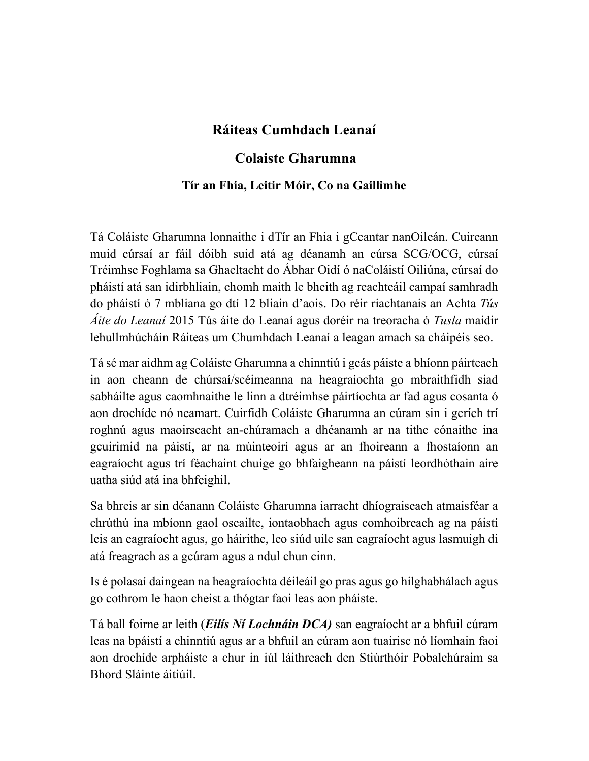### **Ráiteas Cumhdach Leanaí**

#### **Colaiste Gharumna**

#### **Tír an Fhia, Leitir Móir, Co na Gaillimhe**

Tá Coláiste Gharumna lonnaithe i dTír an Fhia i gCeantar nanOileán. Cuireann muid cúrsaí ar fáil dóibh suid atá ag déanamh an cúrsa SCG/OCG, cúrsaí Tréimhse Foghlama sa Ghaeltacht do Ábhar Oidí ó naColáistí Oiliúna, cúrsaí do pháistí atá san idirbhliain, chomh maith le bheith ag reachteáil campaí samhradh do pháistí ó 7 mbliana go dtí 12 bliain d'aois. Do réir riachtanais an Achta *Tús Áite do Leanaí* 2015 Tús áite do Leanaí agus doréir na treoracha ó *Tusla* maidir lehullmhúcháín Ráiteas um Chumhdach Leanaí a leagan amach sa cháipéis seo.

Tá sé mar aidhm ag Coláiste Gharumna a chinntiú i gcás páiste a bhíonn páirteach in aon cheann de chúrsaí/scéimeanna na heagraíochta go mbraithfidh siad sabháilte agus caomhnaithe le linn a dtréimhse páirtíochta ar fad agus cosanta ó aon drochíde nó neamart. Cuirfidh Coláiste Gharumna an cúram sin i gcrích trí roghnú agus maoirseacht an-chúramach a dhéanamh ar na tithe cónaithe ina gcuirimid na páistí, ar na múinteoirí agus ar an fhoireann a fhostaíonn an eagraíocht agus trí féachaint chuige go bhfaigheann na páistí leordhóthain aire uatha siúd atá ina bhfeighil.

Sa bhreis ar sin déanann Coláiste Gharumna iarracht dhíograiseach atmaisféar a chrúthú ina mbíonn gaol oscailte, iontaobhach agus comhoibreach ag na páistí leis an eagraíocht agus, go háirithe, leo siúd uile san eagraíocht agus lasmuigh di atá freagrach as a gcúram agus a ndul chun cinn.

Is é polasaí daingean na heagraíochta déileáil go pras agus go hilghabhálach agus go cothrom le haon cheist a thógtar faoi leas aon pháiste.

Tá ball foirne ar leith (*Eilís Ní Lochnáin DCA)* san eagraíocht ar a bhfuil cúram leas na bpáistí a chinntiú agus ar a bhfuil an cúram aon tuairisc nó líomhain faoi aon drochíde arpháiste a chur in iúl láithreach den Stiúrthóir Pobalchúraim sa Bhord Sláinte áitiúil.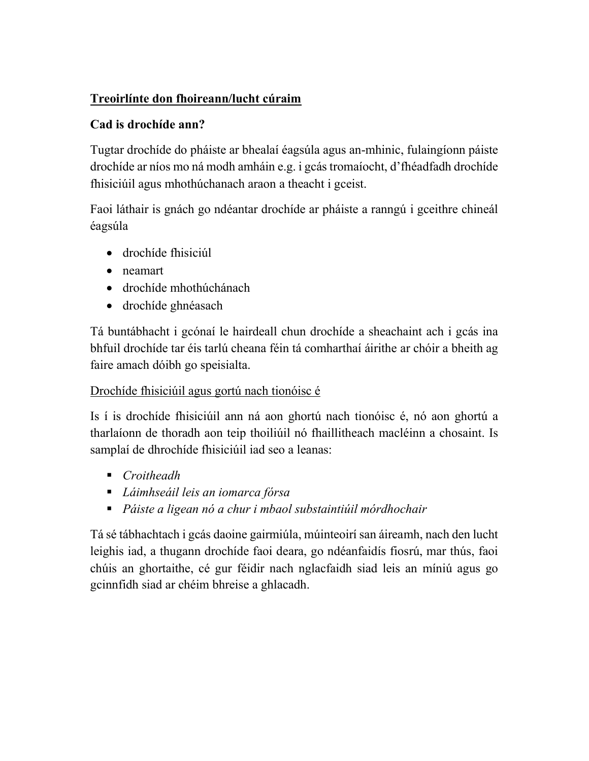### **Treoirlínte don fhoireann/lucht cúraim**

### **Cad is drochíde ann?**

Tugtar drochíde do pháiste ar bhealaí éagsúla agus an-mhinic, fulaingíonn páiste drochíde ar níos mo ná modh amháin e.g. i gcás tromaíocht, d'fhéadfadh drochíde fhisiciúil agus mhothúchanach araon a theacht i gceist.

Faoi láthair is gnách go ndéantar drochíde ar pháiste a ranngú i gceithre chineál éagsúla

- drochíde fhisiciúl
- neamart
- drochíde mhothúchánach
- drochíde ghnéasach

Tá buntábhacht i gcónaí le hairdeall chun drochíde a sheachaint ach i gcás ina bhfuil drochíde tar éis tarlú cheana féin tá comharthaí áirithe ar chóir a bheith ag faire amach dóibh go speisialta.

### Drochíde fhisiciúil agus gortú nach tionóisc é

Is í is drochíde fhisiciúil ann ná aon ghortú nach tionóisc é, nó aon ghortú a tharlaíonn de thoradh aon teip thoiliúil nó fhaillitheach macléinn a chosaint. Is samplaí de dhrochíde fhisiciúil iad seo a leanas:

- *Croitheadh*
- *Láimhseáil leis an iomarca fórsa*
- *Páiste a ligean nó a chur i mbaol substaintiúil mórdhochair*

Tá sé tábhachtach i gcás daoine gairmiúla, múinteoirí san áireamh, nach den lucht leighis iad, a thugann drochíde faoi deara, go ndéanfaidís fiosrú, mar thús, faoi chúis an ghortaithe, cé gur féidir nach nglacfaidh siad leis an míniú agus go gcinnfidh siad ar chéim bhreise a ghlacadh.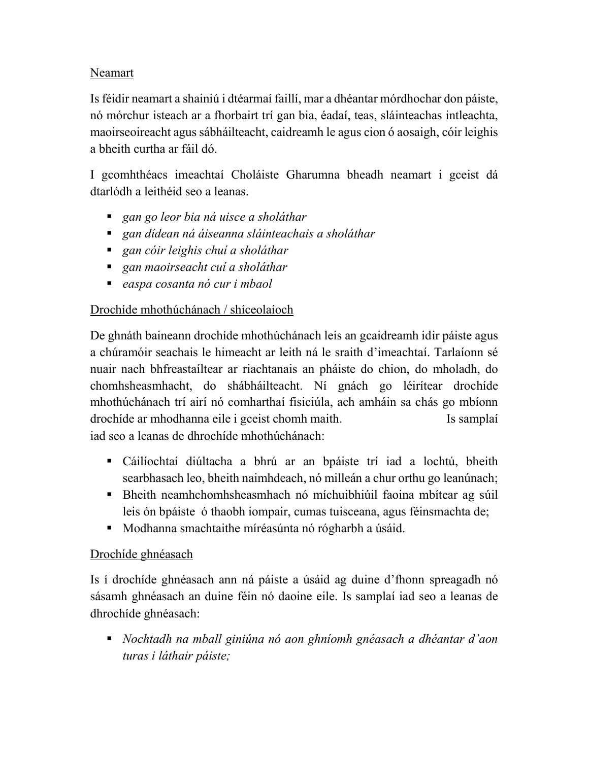#### Neamart

Is féidir neamart a shainiú i dtéarmaí faillí, mar a dhéantar mórdhochar don páiste, nó mórchur isteach ar a fhorbairt trí gan bia, éadaí, teas, sláinteachas intleachta, maoirseoireacht agus sábháilteacht, caidreamh le agus cion ó aosaigh, cóir leighis a bheith curtha ar fáil dó.

I gcomhthéacs imeachtaí Choláiste Gharumna bheadh neamart i gceist dá dtarlódh a leithéid seo a leanas.

- *gan go leor bia ná uisce a sholáthar*
- *gan dídean ná áiseanna sláinteachais a sholáthar*
- *gan cóir leighis chuí a sholáthar*
- *gan maoirseacht cuí a sholáthar*
- *easpa cosanta nó cur i mbaol*

#### Drochíde mhothúchánach / shíceolaíoch

De ghnáth baineann drochíde mhothúchánach leis an gcaidreamh idir páiste agus a chúramóir seachais le himeacht ar leith ná le sraith d'imeachtaí. Tarlaíonn sé nuair nach bhfreastaíltear ar riachtanais an pháiste do chion, do mholadh, do chomhsheasmhacht, do shábháilteacht. Ní gnách go léirítear drochíde mhothúchánach trí airí nó comharthaí fisiciúla, ach amháin sa chás go mbíonn drochíde ar mhodhanna eile i gceist chomh maith. Is samplaí iad seo a leanas de dhrochíde mhothúchánach:

- Cáilíochtaí diúltacha a bhrú ar an bpáiste trí iad a lochtú, bheith searbhasach leo, bheith naimhdeach, nó milleán a chur orthu go leanúnach;
- Bheith neamhchomhsheasmhach nó míchuibhiúil faoina mbítear ag súil leis ón bpáiste ó thaobh iompair, cumas tuisceana, agus féinsmachta de;
- Modhanna smachtaithe míréasúnta nó rógharbh a úsáid.

#### Drochíde ghnéasach

Is í drochíde ghnéasach ann ná páiste a úsáid ag duine d'fhonn spreagadh nó sásamh ghnéasach an duine féin nó daoine eile. Is samplaí iad seo a leanas de dhrochíde ghnéasach:

 *Nochtadh na mball giniúna nó aon ghníomh gnéasach a dhéantar d'aon turas i láthair páiste;*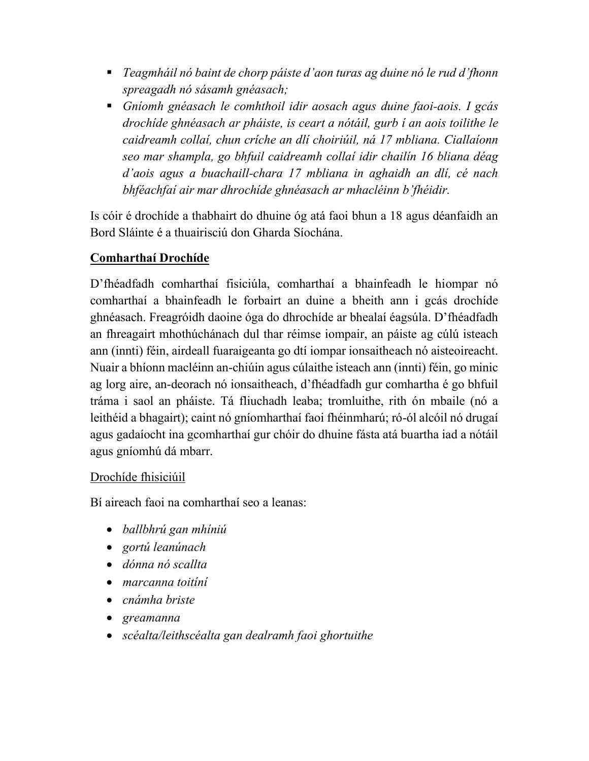- *Teagmháil nó baint de chorp páiste d'aon turas ag duine nó le rud d'fhonn spreagadh nó sásamh gnéasach;*
- *Gníomh gnéasach le comhthoil idir aosach agus duine faoi-aois. I gcás drochíde ghnéasach ar pháiste, is ceart a nótáil, gurb í an aois toilithe le caidreamh collaí, chun críche an dlí choiriúil, ná 17 mbliana. Ciallaíonn seo mar shampla, go bhfuil caidreamh collaí idir chailín 16 bliana déag d'aois agus a buachaill-chara 17 mbliana in aghaidh an dlí, cé nach bhféachfaí air mar dhrochíde ghnéasach ar mhacléinn b'fhéidir.*

Is cóir é drochíde a thabhairt do dhuine óg atá faoi bhun a 18 agus déanfaidh an Bord Sláinte é a thuairisciú don Gharda Síochána.

#### **Comharthaí Drochíde**

D'fhéadfadh comharthaí fisiciúla, comharthaí a bhainfeadh le hiompar nó comharthaí a bhainfeadh le forbairt an duine a bheith ann i gcás drochíde ghnéasach. Freagróidh daoine óga do dhrochíde ar bhealaí éagsúla. D'fhéadfadh an fhreagairt mhothúchánach dul thar réimse iompair, an páiste ag cúlú isteach ann (innti) féin, airdeall fuaraigeanta go dtí iompar ionsaitheach nó aisteoireacht. Nuair a bhíonn macléinn an-chiúin agus cúlaithe isteach ann (innti) féin, go minic ag lorg aire, an-deorach nó ionsaitheach, d'fhéadfadh gur comhartha é go bhfuil tráma i saol an pháiste. Tá fliuchadh leaba; tromluithe, rith ón mbaile (nó a leithéid a bhagairt); caint nó gníomharthaí faoi fhéinmharú; ró-ól alcóil nó drugaí agus gadaíocht ina gcomharthaí gur chóir do dhuine fásta atá buartha iad a nótáil agus gníomhú dá mbarr.

#### Drochíde fhisiciúil

Bí aireach faoi na comharthaí seo a leanas:

- *ballbhrú gan mhíniú*
- *gortú leanúnach*
- *dónna nó scallta*
- *marcanna toitíní*
- *cnámha briste*
- *greamanna*
- *scéalta/leithscéalta gan dealramh faoi ghortuithe*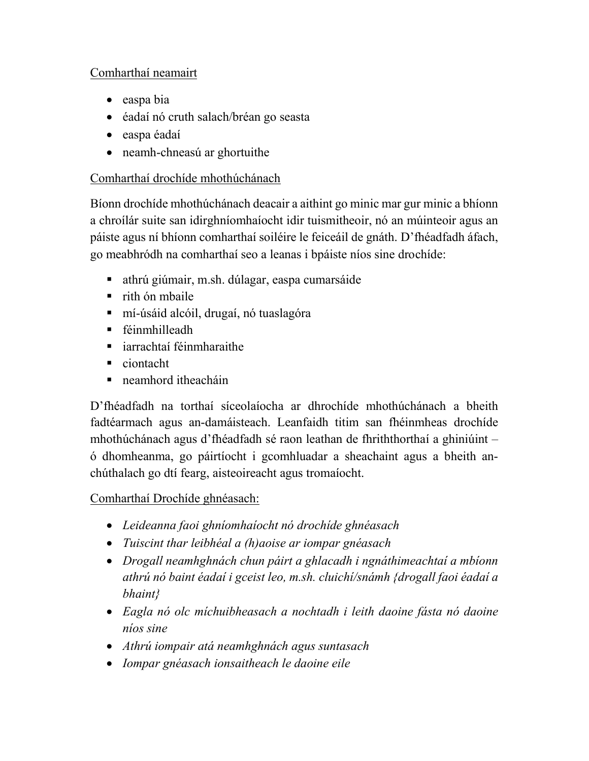#### Comharthaí neamairt

- easpa bia
- éadaí nó cruth salach/bréan go seasta
- easpa éadaí
- neamh-chneasú ar ghortuithe

## Comharthaí drochíde mhothúchánach

Bíonn drochíde mhothúchánach deacair a aithint go minic mar gur minic a bhíonn a chroílár suite san idirghníomhaíocht idir tuismitheoir, nó an múinteoir agus an páiste agus ní bhíonn comharthaí soiléire le feiceáil de gnáth. D'fhéadfadh áfach, go meabhródh na comharthaí seo a leanas i bpáiste níos sine drochíde:

- athrú giúmair, m.sh. dúlagar, easpa cumarsáide
- $r$ ith ón mbaile
- mí-úsáid alcóil, drugaí, nó tuaslagóra
- féinmhilleadh
- iarrachtaí féinmharaithe
- ciontacht
- neamhord itheacháin

D'fhéadfadh na torthaí síceolaíocha ar dhrochíde mhothúchánach a bheith fadtéarmach agus an-damáisteach. Leanfaidh titim san fhéinmheas drochíde mhothúchánach agus d'fhéadfadh sé raon leathan de fhriththorthaí a ghiniúint – ó dhomheanma, go páirtíocht i gcomhluadar a sheachaint agus a bheith anchúthalach go dtí fearg, aisteoireacht agus tromaíocht.

# Comharthaí Drochíde ghnéasach:

- *Leideanna faoi ghníomhaíocht nó drochíde ghnéasach*
- *Tuiscint thar leibhéal a (h)aoise ar iompar gnéasach*
- *Drogall neamhghnách chun páirt a ghlacadh i ngnáthimeachtaí a mbíonn athrú nó baint éadaí i gceist leo, m.sh. cluichí/snámh {drogall faoi éadaí a bhaint}*
- *Eagla nó olc míchuibheasach a nochtadh i leith daoine fásta nó daoine níos sine*
- *Athrú iompair atá neamhghnách agus suntasach*
- *Iompar gnéasach ionsaitheach le daoine eile*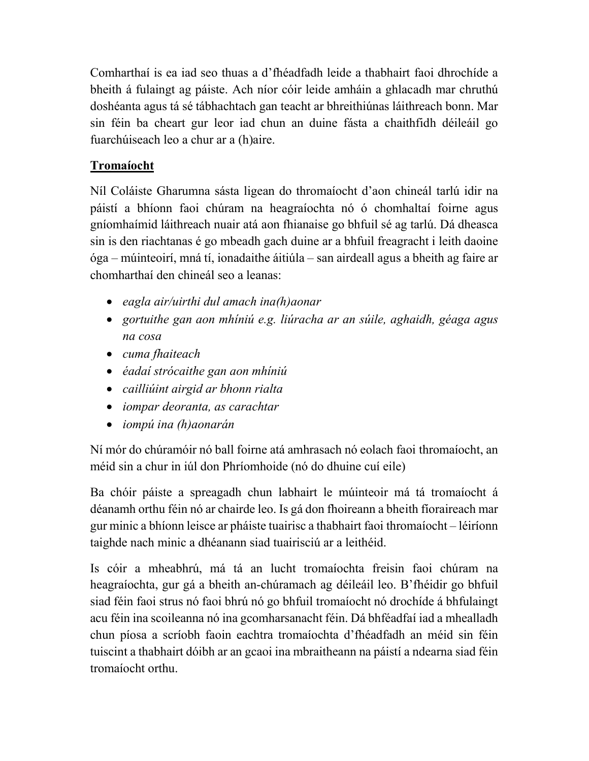Comharthaí is ea iad seo thuas a d'fhéadfadh leide a thabhairt faoi dhrochíde a bheith á fulaingt ag páiste. Ach níor cóir leide amháin a ghlacadh mar chruthú doshéanta agus tá sé tábhachtach gan teacht ar bhreithiúnas láithreach bonn. Mar sin féin ba cheart gur leor iad chun an duine fásta a chaithfidh déileáil go fuarchúiseach leo a chur ar a (h)aire.

### **Tromaíocht**

Níl Coláiste Gharumna sásta ligean do thromaíocht d'aon chineál tarlú idir na páistí a bhíonn faoi chúram na heagraíochta nó ó chomhaltaí foirne agus gníomhaímid láithreach nuair atá aon fhianaise go bhfuil sé ag tarlú. Dá dheasca sin is den riachtanas é go mbeadh gach duine ar a bhfuil freagracht i leith daoine óga – múinteoirí, mná tí, ionadaithe áitiúla – san airdeall agus a bheith ag faire ar chomharthaí den chineál seo a leanas:

- *eagla air/uirthi dul amach ina(h)aonar*
- *gortuithe gan aon mhíniú e.g. liúracha ar an súile, aghaidh, géaga agus na cosa*
- *cuma fhaiteach*
- *éadaí strócaithe gan aon mhíniú*
- *cailliúint airgid ar bhonn rialta*
- *iompar deoranta, as carachtar*
- *iompú ina (h)aonarán*

Ní mór do chúramóir nó ball foirne atá amhrasach nó eolach faoi thromaíocht, an méid sin a chur in iúl don Phríomhoide (nó do dhuine cuí eile)

Ba chóir páiste a spreagadh chun labhairt le múinteoir má tá tromaíocht á déanamh orthu féin nó ar chairde leo. Is gá don fhoireann a bheith fíoraireach mar gur minic a bhíonn leisce ar pháiste tuairisc a thabhairt faoi thromaíocht – léiríonn taighde nach minic a dhéanann siad tuairisciú ar a leithéid.

Is cóir a mheabhrú, má tá an lucht tromaíochta freisin faoi chúram na heagraíochta, gur gá a bheith an-chúramach ag déileáil leo. B'fhéidir go bhfuil siad féin faoi strus nó faoi bhrú nó go bhfuil tromaíocht nó drochíde á bhfulaingt acu féin ina scoileanna nó ina gcomharsanacht féin. Dá bhféadfaí iad a mhealladh chun píosa a scríobh faoin eachtra tromaíochta d'fhéadfadh an méid sin féin tuiscint a thabhairt dóibh ar an gcaoi ina mbraitheann na páistí a ndearna siad féin tromaíocht orthu.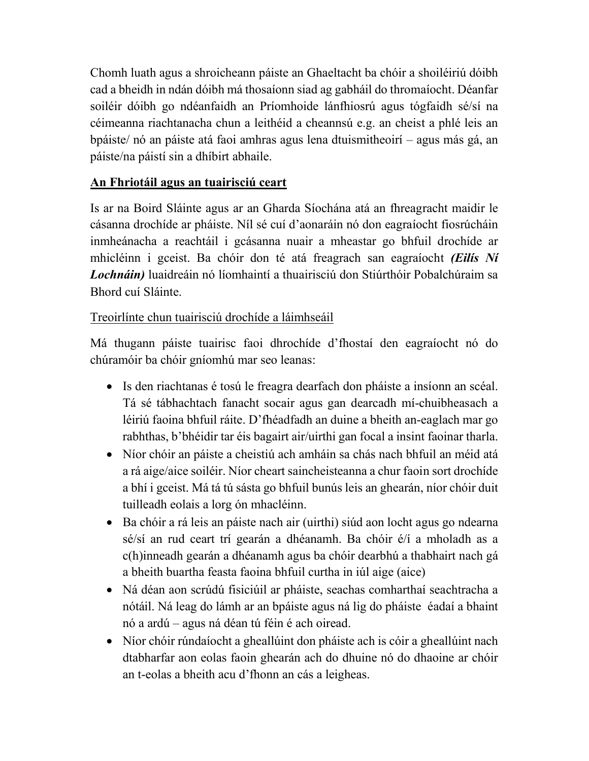Chomh luath agus a shroicheann páiste an Ghaeltacht ba chóir a shoiléiriú dóibh cad a bheidh in ndán dóibh má thosaíonn siad ag gabháil do thromaíocht. Déanfar soiléir dóibh go ndéanfaidh an Príomhoide lánfhiosrú agus tógfaidh sé/sí na céimeanna riachtanacha chun a leithéid a cheannsú e.g. an cheist a phlé leis an bpáiste/ nó an páiste atá faoi amhras agus lena dtuismitheoirí – agus más gá, an páiste/na páistí sin a dhíbirt abhaile.

### **An Fhriotáil agus an tuairisciú ceart**

Is ar na Boird Sláinte agus ar an Gharda Síochána atá an fhreagracht maidir le cásanna drochíde ar pháiste. Níl sé cuí d'aonaráin nó don eagraíocht fiosrúcháin inmheánacha a reachtáil i gcásanna nuair a mheastar go bhfuil drochíde ar mhicléinn i gceist. Ba chóir don té atá freagrach san eagraíocht *(Eilís Ní Lochnáin)* luaidreáin nó líomhaintí a thuairisciú don Stiúrthóir Pobalchúraim sa Bhord cuí Sláinte.

#### Treoirlínte chun tuairisciú drochíde a láimhseáil

Má thugann páiste tuairisc faoi dhrochíde d'fhostaí den eagraíocht nó do chúramóir ba chóir gníomhú mar seo leanas:

- Is den riachtanas é tosú le freagra dearfach don pháiste a insíonn an scéal. Tá sé tábhachtach fanacht socair agus gan dearcadh mí-chuibheasach a léiriú faoina bhfuil ráite. D'fhéadfadh an duine a bheith an-eaglach mar go rabhthas, b'bhéidir tar éis bagairt air/uirthi gan focal a insint faoinar tharla.
- Níor chóir an páiste a cheistiú ach amháin sa chás nach bhfuil an méid atá a rá aige/aice soiléir. Níor cheart saincheisteanna a chur faoin sort drochíde a bhí i gceist. Má tá tú sásta go bhfuil bunús leis an ghearán, níor chóir duit tuilleadh eolais a lorg ón mhacléinn.
- Ba chóir a rá leis an páiste nach air (uirthi) siúd aon locht agus go ndearna sé/sí an rud ceart trí gearán a dhéanamh. Ba chóir é/í a mholadh as a c(h)inneadh gearán a dhéanamh agus ba chóir dearbhú a thabhairt nach gá a bheith buartha feasta faoina bhfuil curtha in iúl aige (aice)
- Ná déan aon scrúdú fisiciúil ar pháiste, seachas comharthaí seachtracha a nótáil. Ná leag do lámh ar an bpáiste agus ná lig do pháiste éadaí a bhaint nó a ardú – agus ná déan tú féin é ach oiread.
- Níor chóir rúndaíocht a gheallúint don pháiste ach is cóir a gheallúint nach dtabharfar aon eolas faoin ghearán ach do dhuine nó do dhaoine ar chóir an t-eolas a bheith acu d'fhonn an cás a leigheas.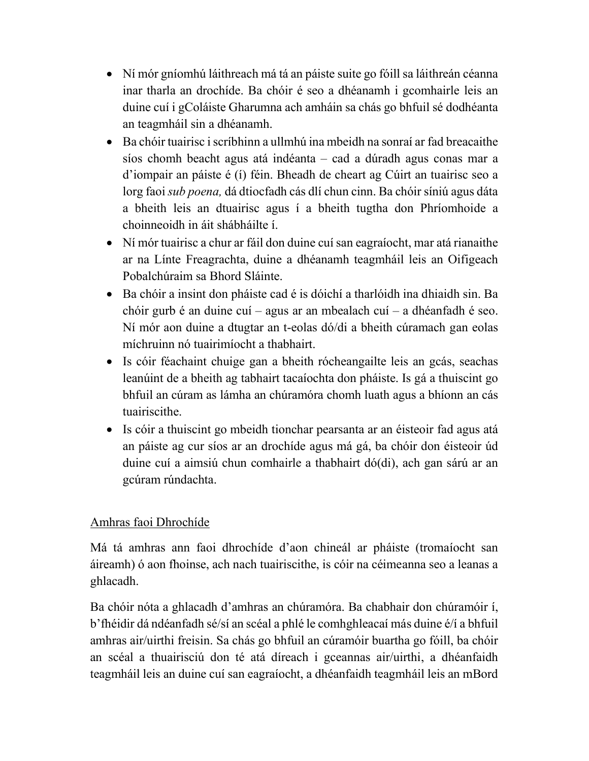- Ní mór gníomhú láithreach má tá an páiste suite go fóill sa láithreán céanna inar tharla an drochíde. Ba chóir é seo a dhéanamh i gcomhairle leis an duine cuí i gColáiste Gharumna ach amháin sa chás go bhfuil sé dodhéanta an teagmháil sin a dhéanamh.
- Ba chóir tuairisc i scríbhinn a ullmhú ina mbeidh na sonraí ar fad breacaithe síos chomh beacht agus atá indéanta – cad a dúradh agus conas mar a d'iompair an páiste é (í) féin. Bheadh de cheart ag Cúirt an tuairisc seo a lorg faoi *sub poena,* dá dtiocfadh cás dlí chun cinn. Ba chóir síniú agus dáta a bheith leis an dtuairisc agus í a bheith tugtha don Phríomhoide a choinneoidh in áit shábháilte í.
- Ní mór tuairisc a chur ar fáil don duine cuí san eagraíocht, mar atá rianaithe ar na Línte Freagrachta, duine a dhéanamh teagmháil leis an Oifigeach Pobalchúraim sa Bhord Sláinte.
- Ba chóir a insint don pháiste cad é is dóichí a tharlóidh ina dhiaidh sin. Ba chóir gurb é an duine cuí – agus ar an mbealach cuí – a dhéanfadh é seo. Ní mór aon duine a dtugtar an t-eolas dó/di a bheith cúramach gan eolas míchruinn nó tuairimíocht a thabhairt.
- Is cóir féachaint chuige gan a bheith rócheangailte leis an gcás, seachas leanúint de a bheith ag tabhairt tacaíochta don pháiste. Is gá a thuiscint go bhfuil an cúram as lámha an chúramóra chomh luath agus a bhíonn an cás tuairiscithe.
- Is cóir a thuiscint go mbeidh tionchar pearsanta ar an éisteoir fad agus atá an páiste ag cur síos ar an drochíde agus má gá, ba chóir don éisteoir úd duine cuí a aimsiú chun comhairle a thabhairt dó(di), ach gan sárú ar an gcúram rúndachta.

### Amhras faoi Dhrochíde

Má tá amhras ann faoi dhrochíde d'aon chineál ar pháiste (tromaíocht san áireamh) ó aon fhoinse, ach nach tuairiscithe, is cóir na céimeanna seo a leanas a ghlacadh.

Ba chóir nóta a ghlacadh d'amhras an chúramóra. Ba chabhair don chúramóir í, b'fhéidir dá ndéanfadh sé/sí an scéal a phlé le comhghleacaí más duine é/í a bhfuil amhras air/uirthi freisin. Sa chás go bhfuil an cúramóir buartha go fóill, ba chóir an scéal a thuairisciú don té atá díreach i gceannas air/uirthi, a dhéanfaidh teagmháil leis an duine cuí san eagraíocht, a dhéanfaidh teagmháil leis an mBord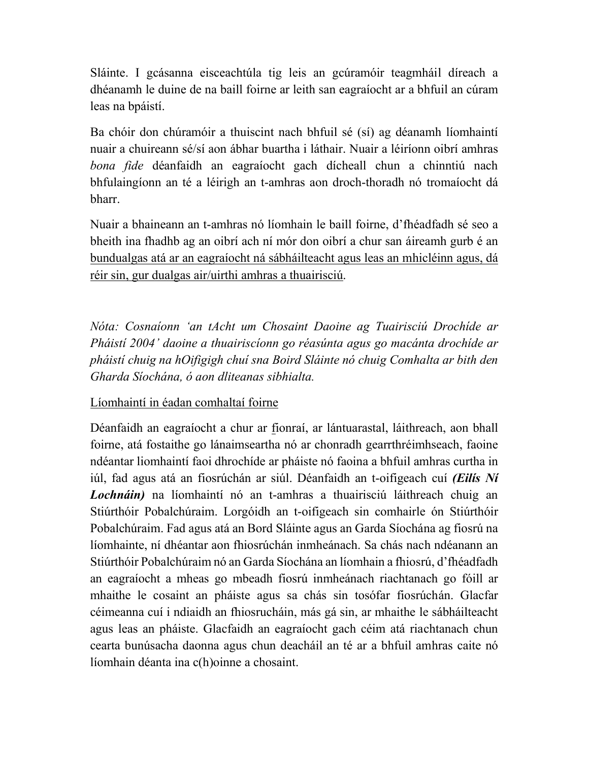Sláinte. I gcásanna eisceachtúla tig leis an gcúramóir teagmháil díreach a dhéanamh le duine de na baill foirne ar leith san eagraíocht ar a bhfuil an cúram leas na bpáistí.

Ba chóir don chúramóir a thuiscint nach bhfuil sé (sí) ag déanamh líomhaintí nuair a chuireann sé/sí aon ábhar buartha i láthair. Nuair a léiríonn oibrí amhras *bona fide* déanfaidh an eagraíocht gach dícheall chun a chinntiú nach bhfulaingíonn an té a léirigh an t-amhras aon droch-thoradh nó tromaíocht dá bharr.

Nuair a bhaineann an t-amhras nó líomhain le baill foirne, d'fhéadfadh sé seo a bheith ina fhadhb ag an oibrí ach ní mór don oibrí a chur san áireamh gurb é an bundualgas atá ar an eagraíocht ná sábháilteacht agus leas an mhicléinn agus, dá réir sin, gur dualgas air/uirthi amhras a thuairisciú.

*Nóta: Cosnaíonn 'an tAcht um Chosaint Daoine ag Tuairisciú Drochíde ar Pháistí 2004' daoine a thuairiscíonn go réasúnta agus go macánta drochíde ar pháistí chuig na hOifigigh chuí sna Boird Sláinte nó chuig Comhalta ar bith den Gharda Síochána, ó aon dliteanas sibhialta.* 

Líomhaintí in éadan comhaltaí foirne

Déanfaidh an eagraíocht a chur ar fionraí, ar lántuarastal, láithreach, aon bhall foirne, atá fostaithe go lánaimseartha nó ar chonradh gearrthréimhseach, faoine ndéantar liomhaintí faoi dhrochíde ar pháiste nó faoina a bhfuil amhras curtha in iúl, fad agus atá an fiosrúchán ar siúl. Déanfaidh an t-oifigeach cuí *(Eilís Ní Lochnáin)* na líomhaintí nó an t-amhras a thuairisciú láithreach chuig an Stiúrthóir Pobalchúraim. Lorgóidh an t-oifigeach sin comhairle ón Stiúrthóir Pobalchúraim. Fad agus atá an Bord Sláinte agus an Garda Síochána ag fiosrú na líomhainte, ní dhéantar aon fhiosrúchán inmheánach. Sa chás nach ndéanann an Stiúrthóir Pobalchúraim nó an Garda Síochána an líomhain a fhiosrú, d'fhéadfadh an eagraíocht a mheas go mbeadh fiosrú inmheánach riachtanach go fóill ar mhaithe le cosaint an pháiste agus sa chás sin tosófar fiosrúchán. Glacfar céimeanna cuí i ndiaidh an fhiosrucháin, más gá sin, ar mhaithe le sábháilteacht agus leas an pháiste. Glacfaidh an eagraíocht gach céim atá riachtanach chun cearta bunúsacha daonna agus chun deacháil an té ar a bhfuil amhras caite nó líomhain déanta ina c(h)oinne a chosaint.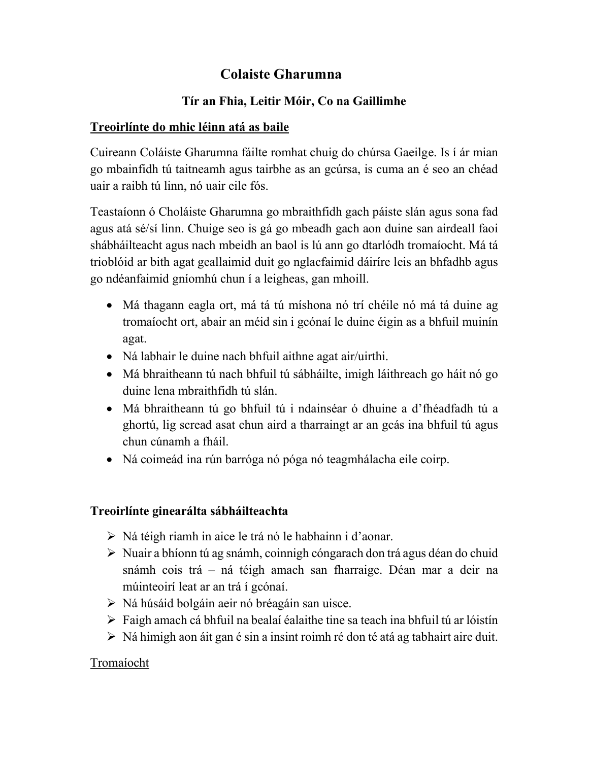# **Colaiste Gharumna**

## **Tír an Fhia, Leitir Móir, Co na Gaillimhe**

#### **Treoirlínte do mhic léinn atá as baile**

Cuireann Coláiste Gharumna fáilte romhat chuig do chúrsa Gaeilge. Is í ár mian go mbainfidh tú taitneamh agus tairbhe as an gcúrsa, is cuma an é seo an chéad uair a raibh tú linn, nó uair eile fós.

Teastaíonn ó Choláiste Gharumna go mbraithfidh gach páiste slán agus sona fad agus atá sé/sí linn. Chuige seo is gá go mbeadh gach aon duine san airdeall faoi shábháilteacht agus nach mbeidh an baol is lú ann go dtarlódh tromaíocht. Má tá trioblóid ar bith agat geallaimid duit go nglacfaimid dáiríre leis an bhfadhb agus go ndéanfaimid gníomhú chun í a leigheas, gan mhoill.

- Má thagann eagla ort, má tá tú míshona nó trí chéile nó má tá duine ag tromaíocht ort, abair an méid sin i gcónaí le duine éigin as a bhfuil muinín agat.
- Ná labhair le duine nach bhfuil aithne agat air/uirthi.
- Má bhraitheann tú nach bhfuil tú sábháilte, imigh láithreach go háit nó go duine lena mbraithfidh tú slán.
- Má bhraitheann tú go bhfuil tú i ndainséar ó dhuine a d'fhéadfadh tú a ghortú, lig scread asat chun aird a tharraingt ar an gcás ina bhfuil tú agus chun cúnamh a fháil.
- Ná coimeád ina rún barróga nó póga nó teagmhálacha eile coirp.

### **Treoirlínte ginearálta sábháilteachta**

- Ná téigh riamh in aice le trá nó le habhainn i d'aonar.
- Nuair a bhíonn tú ag snámh, coinnigh cóngarach don trá agus déan do chuid snámh cois trá – ná téigh amach san fharraige. Déan mar a deir na múinteoirí leat ar an trá í gcónaí.
- $\triangleright$  Ná húsáid bolgáin aeir nó bréagáin san uisce.
- $\triangleright$  Faigh amach cá bhfuil na bealaí éalaithe tine sa teach ina bhfuil tú ar lóistín
- $\triangleright$  Ná himigh aon áit gan é sin a insint roimh ré don té atá ag tabhairt aire duit.

### Tromaíocht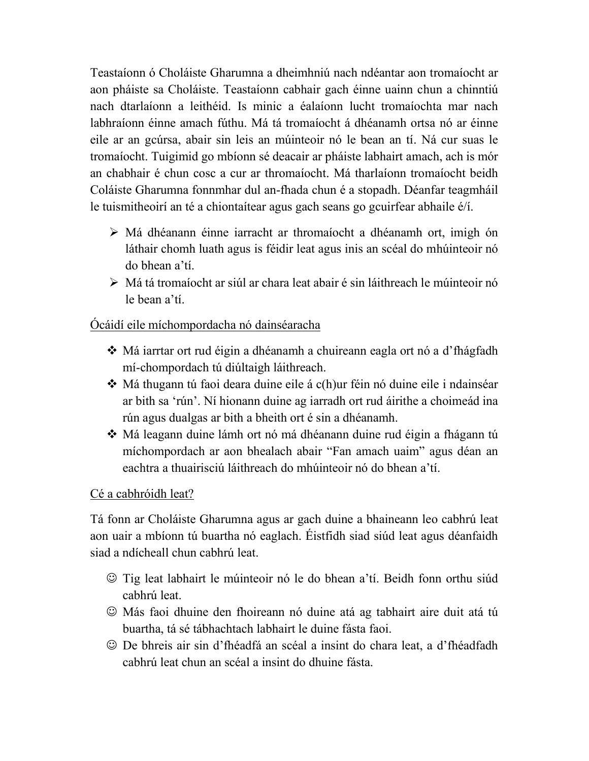Teastaíonn ó Choláiste Gharumna a dheimhniú nach ndéantar aon tromaíocht ar aon pháiste sa Choláiste. Teastaíonn cabhair gach éinne uainn chun a chinntiú nach dtarlaíonn a leithéid. Is minic a éalaíonn lucht tromaíochta mar nach labhraíonn éinne amach fúthu. Má tá tromaíocht á dhéanamh ortsa nó ar éinne eile ar an gcúrsa, abair sin leis an múinteoir nó le bean an tí. Ná cur suas le tromaíocht. Tuigimid go mbíonn sé deacair ar pháiste labhairt amach, ach is mór an chabhair é chun cosc a cur ar thromaíocht. Má tharlaíonn tromaíocht beidh Coláiste Gharumna fonnmhar dul an-fhada chun é a stopadh. Déanfar teagmháil le tuismitheoirí an té a chiontaítear agus gach seans go gcuirfear abhaile é/í.

- Má dhéanann éinne iarracht ar thromaíocht a dhéanamh ort, imigh ón láthair chomh luath agus is féidir leat agus inis an scéal do mhúinteoir nó do bhean a'tí.
- Má tá tromaíocht ar siúl ar chara leat abair é sin láithreach le múinteoir nó le bean a'tí.

#### Ócáidí eile míchompordacha nó dainséaracha

- Má iarrtar ort rud éigin a dhéanamh a chuireann eagla ort nó a d'fhágfadh mí-chompordach tú diúltaigh láithreach.
- Má thugann tú faoi deara duine eile á c(h)ur féin nó duine eile i ndainséar ar bith sa 'rún'. Ní hionann duine ag iarradh ort rud áirithe a choimeád ina rún agus dualgas ar bith a bheith ort é sin a dhéanamh.
- Má leagann duine lámh ort nó má dhéanann duine rud éigin a fhágann tú míchompordach ar aon bhealach abair "Fan amach uaim" agus déan an eachtra a thuairisciú láithreach do mhúinteoir nó do bhean a'tí.

#### Cé a cabhróidh leat?

Tá fonn ar Choláiste Gharumna agus ar gach duine a bhaineann leo cabhrú leat aon uair a mbíonn tú buartha nó eaglach. Éistfidh siad siúd leat agus déanfaidh siad a ndícheall chun cabhrú leat.

- Tig leat labhairt le múinteoir nó le do bhean a'tí. Beidh fonn orthu siúd cabhrú leat.
- Más faoi dhuine den fhoireann nó duine atá ag tabhairt aire duit atá tú buartha, tá sé tábhachtach labhairt le duine fásta faoi.
- De bhreis air sin d'fhéadfá an scéal a insint do chara leat, a d'fhéadfadh cabhrú leat chun an scéal a insint do dhuine fásta.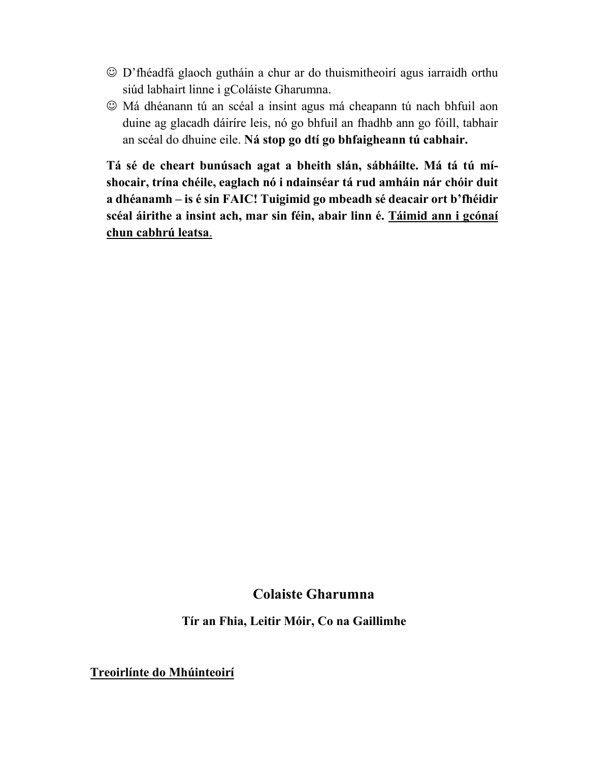- D'fhéadfá glaoch gutháin a chur ar do thuismitheoirí agus iarraidh orthu siúd labhairt linne i gColáiste Gharumna.
- Má dhéanann tú an scéal a insint agus má cheapann tú nach bhfuil aon duine ag glacadh dáiríre leis, nó go bhfuil an fhadhb ann go fóill, tabhair an scéal do dhuine eile. **Ná stop go dtí go bhfaigheann tú cabhair.**

**Tá sé de cheart bunúsach agat a bheith slán, sábháilte. Má tá tú míshocair, trína chéile, eaglach nó i ndainséar tá rud amháin nár chóir duit a dhéanamh – is é sin FAIC! Tuigimid go mbeadh sé deacair ort b'fhéidir scéal áirithe a insint ach, mar sin féin, abair linn é. Táimid ann i gcónaí chun cabhrú leatsa**.

# **Colaiste Gharumna**

**Tír an Fhia, Leitir Móir, Co na Gaillimhe** 

**Treoirlínte do Mhúinteoirí**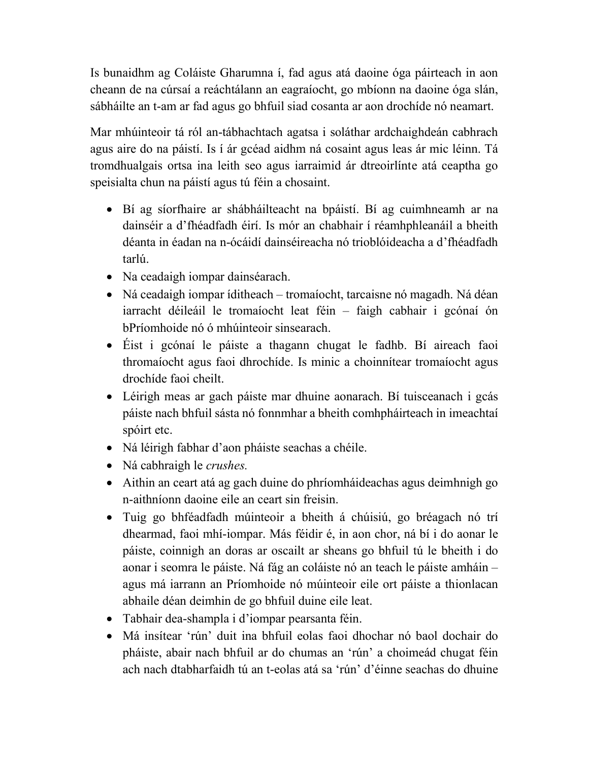Is bunaidhm ag Coláiste Gharumna í, fad agus atá daoine óga páirteach in aon cheann de na cúrsaí a reáchtálann an eagraíocht, go mbíonn na daoine óga slán, sábháilte an t-am ar fad agus go bhfuil siad cosanta ar aon drochíde nó neamart.

Mar mhúinteoir tá ról an-tábhachtach agatsa i soláthar ardchaighdeán cabhrach agus aire do na páistí. Is í ár gcéad aidhm ná cosaint agus leas ár mic léinn. Tá tromdhualgais ortsa ina leith seo agus iarraimid ár dtreoirlínte atá ceaptha go speisialta chun na páistí agus tú féin a chosaint.

- Bí ag síorfhaire ar shábháilteacht na bpáistí. Bí ag cuimhneamh ar na dainséir a d'fhéadfadh éirí. Is mór an chabhair í réamhphleanáil a bheith déanta in éadan na n-ócáidí dainséireacha nó trioblóideacha a d'fhéadfadh tarlú.
- Na ceadaigh iompar dainséarach.
- Ná ceadaigh iompar íditheach tromaíocht, tarcaisne nó magadh. Ná déan iarracht déileáil le tromaíocht leat féin – faigh cabhair i gcónaí ón bPríomhoide nó ó mhúinteoir sinsearach.
- Éist i gcónaí le páiste a thagann chugat le fadhb. Bí aireach faoi thromaíocht agus faoi dhrochíde. Is minic a choinnítear tromaíocht agus drochíde faoi cheilt.
- Léirigh meas ar gach páiste mar dhuine aonarach. Bí tuisceanach i gcás páiste nach bhfuil sásta nó fonnmhar a bheith comhpháirteach in imeachtaí spóirt etc.
- Ná léirigh fabhar d'aon pháiste seachas a chéile.
- Ná cabhraigh le *crushes.*
- Aithin an ceart atá ag gach duine do phríomháideachas agus deimhnigh go n-aithníonn daoine eile an ceart sin freisin.
- Tuig go bhféadfadh múinteoir a bheith á chúisiú, go bréagach nó trí dhearmad, faoi mhí-iompar. Más féidir é, in aon chor, ná bí i do aonar le páiste, coinnigh an doras ar oscailt ar sheans go bhfuil tú le bheith i do aonar i seomra le páiste. Ná fág an coláiste nó an teach le páiste amháin – agus má iarrann an Príomhoide nó múinteoir eile ort páiste a thionlacan abhaile déan deimhin de go bhfuil duine eile leat.
- Tabhair dea-shampla i d'iompar pearsanta féin.
- Má insítear 'rún' duit ina bhfuil eolas faoi dhochar nó baol dochair do pháiste, abair nach bhfuil ar do chumas an 'rún' a choimeád chugat féin ach nach dtabharfaidh tú an t-eolas atá sa 'rún' d'éinne seachas do dhuine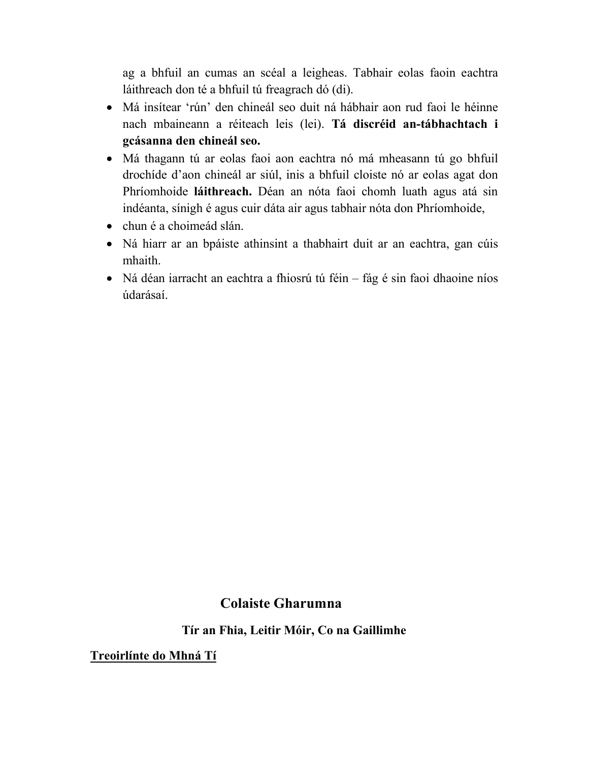ag a bhfuil an cumas an scéal a leigheas. Tabhair eolas faoin eachtra láithreach don té a bhfuil tú freagrach dó (di).

- Má insítear 'rún' den chineál seo duit ná hábhair aon rud faoi le héinne nach mbaineann a réiteach leis (lei). **Tá discréid an-tábhachtach i gcásanna den chineál seo.**
- Má thagann tú ar eolas faoi aon eachtra nó má mheasann tú go bhfuil drochíde d'aon chineál ar siúl, inis a bhfuil cloiste nó ar eolas agat don Phríomhoide **láithreach.** Déan an nóta faoi chomh luath agus atá sin indéanta, sínigh é agus cuir dáta air agus tabhair nóta don Phríomhoide,
- chun é a choimeád slán.
- Ná hiarr ar an bpáiste athinsint a thabhairt duit ar an eachtra, gan cúis mhaith.
- Ná déan iarracht an eachtra a fhiosrú tú féin fág é sin faoi dhaoine níos údarásaí.

### **Colaiste Gharumna**

**Tír an Fhia, Leitir Móir, Co na Gaillimhe** 

**Treoirlínte do Mhná Tí**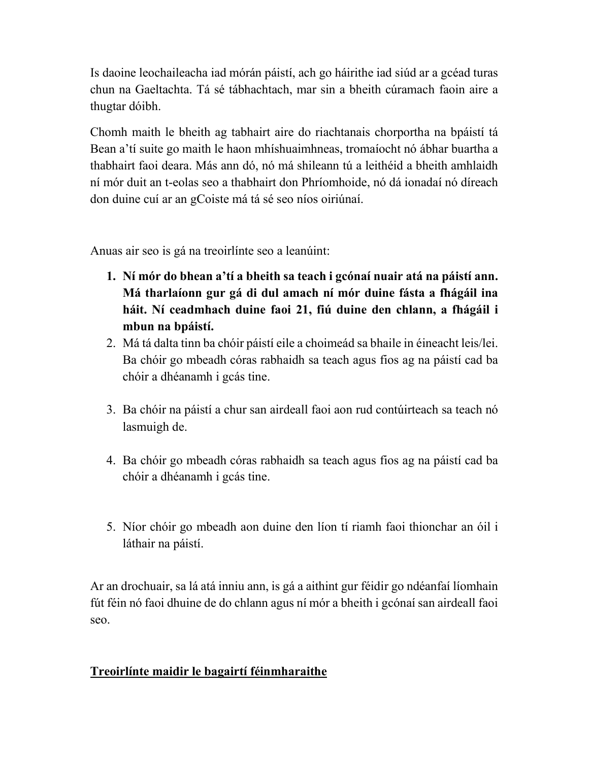Is daoine leochaileacha iad mórán páistí, ach go háirithe iad siúd ar a gcéad turas chun na Gaeltachta. Tá sé tábhachtach, mar sin a bheith cúramach faoin aire a thugtar dóibh.

Chomh maith le bheith ag tabhairt aire do riachtanais chorportha na bpáistí tá Bean a'tí suite go maith le haon mhíshuaimhneas, tromaíocht nó ábhar buartha a thabhairt faoi deara. Más ann dó, nó má shileann tú a leithéid a bheith amhlaidh ní mór duit an t-eolas seo a thabhairt don Phríomhoide, nó dá ionadaí nó díreach don duine cuí ar an gCoiste má tá sé seo níos oiriúnaí.

Anuas air seo is gá na treoirlínte seo a leanúint:

- **1. Ní mór do bhean a'tí a bheith sa teach i gcónaí nuair atá na páistí ann. Má tharlaíonn gur gá di dul amach ní mór duine fásta a fhágáil ina háit. Ní ceadmhach duine faoi 21, fiú duine den chlann, a fhágáil i mbun na bpáistí.**
- 2. Má tá dalta tinn ba chóir páistí eile a choimeád sa bhaile in éineacht leis/lei. Ba chóir go mbeadh córas rabhaidh sa teach agus fios ag na páistí cad ba chóir a dhéanamh i gcás tine.
- 3. Ba chóir na páistí a chur san airdeall faoi aon rud contúirteach sa teach nó lasmuigh de.
- 4. Ba chóir go mbeadh córas rabhaidh sa teach agus fios ag na páistí cad ba chóir a dhéanamh i gcás tine.
- 5. Níor chóir go mbeadh aon duine den líon tí riamh faoi thionchar an óil i láthair na páistí.

Ar an drochuair, sa lá atá inniu ann, is gá a aithint gur féidir go ndéanfaí líomhain fút féin nó faoi dhuine de do chlann agus ní mór a bheith i gcónaí san airdeall faoi seo.

### **Treoirlínte maidir le bagairtí féinmharaithe**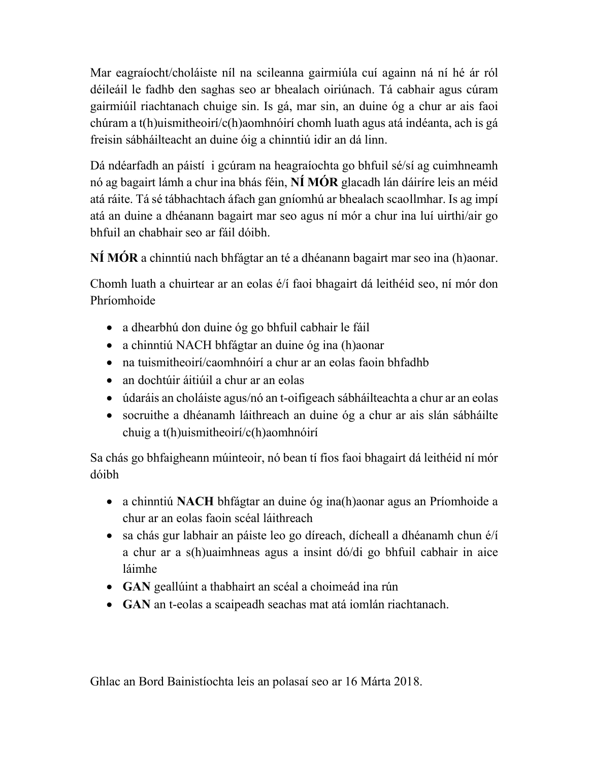Mar eagraíocht/choláiste níl na scileanna gairmiúla cuí againn ná ní hé ár ról déileáil le fadhb den saghas seo ar bhealach oiriúnach. Tá cabhair agus cúram gairmiúil riachtanach chuige sin. Is gá, mar sin, an duine óg a chur ar ais faoi chúram a t(h)uismitheoirí/c(h)aomhnóirí chomh luath agus atá indéanta, ach is gá freisin sábháilteacht an duine óig a chinntiú idir an dá linn.

Dá ndéarfadh an páistí i gcúram na heagraíochta go bhfuil sé/sí ag cuimhneamh nó ag bagairt lámh a chur ina bhás féin, **NÍ MÓR** glacadh lán dáiríre leis an méid atá ráite. Tá sé tábhachtach áfach gan gníomhú ar bhealach scaollmhar. Is ag impí atá an duine a dhéanann bagairt mar seo agus ní mór a chur ina luí uirthi/air go bhfuil an chabhair seo ar fáil dóibh.

**NÍ MÓR** a chinntiú nach bhfágtar an té a dhéanann bagairt mar seo ina (h)aonar.

Chomh luath a chuirtear ar an eolas é/í faoi bhagairt dá leithéid seo, ní mór don Phríomhoide

- a dhearbhú don duine óg go bhfuil cabhair le fáil
- a chinntiú NACH bhfágtar an duine óg ina (h)aonar
- na tuismitheoirí/caomhnóirí a chur ar an eolas faoin bhfadhb
- an dochtúir áitiúil a chur ar an eolas
- údaráis an choláiste agus/nó an t-oifigeach sábháilteachta a chur ar an eolas
- socruithe a dhéanamh láithreach an duine óg a chur ar ais slán sábháilte chuig a t(h)uismitheoirí/c(h)aomhnóirí

Sa chás go bhfaigheann múinteoir, nó bean tí fios faoi bhagairt dá leithéid ní mór dóibh

- a chinntiú **NACH** bhfágtar an duine óg ina(h)aonar agus an Príomhoide a chur ar an eolas faoin scéal láithreach
- sa chás gur labhair an páiste leo go díreach, dícheall a dhéanamh chun é/í a chur ar a s(h)uaimhneas agus a insint dó/di go bhfuil cabhair in aice láimhe
- **GAN** geallúint a thabhairt an scéal a choimeád ina rún
- **GAN** an t-eolas a scaipeadh seachas mat atá iomlán riachtanach.

Ghlac an Bord Bainistíochta leis an polasaí seo ar 16 Márta 2018.